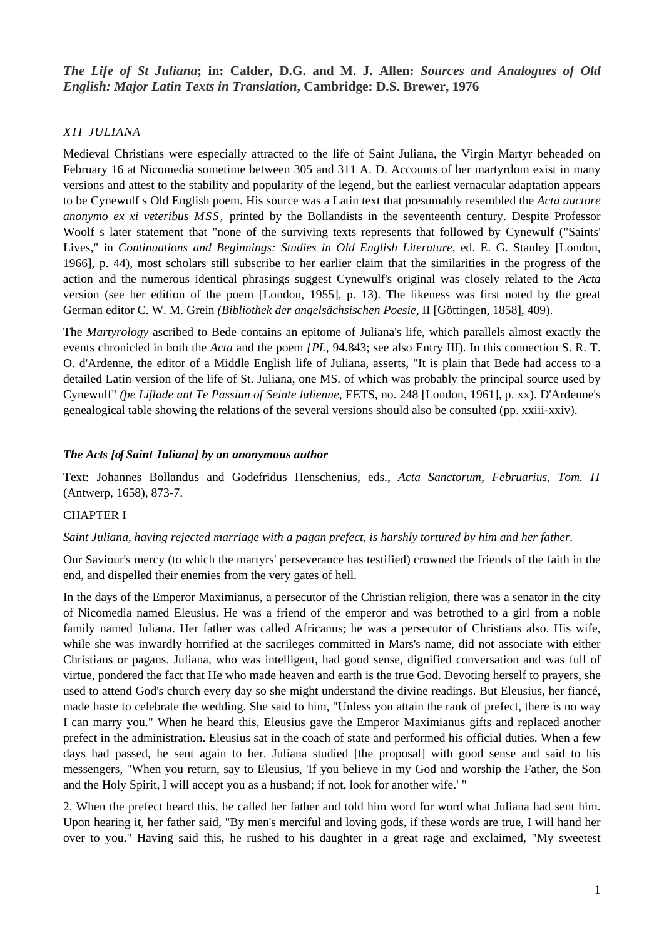# *XII JULIANA*

Medieval Christians were especially attracted to the life of Saint Juliana, the Virgin Martyr beheaded on February 16 at Nicomedia sometime between 305 and 311 A. D. Accounts of her martyrdom exist in many versions and attest to the stability and popularity of the legend, but the earliest vernacular adaptation appears to be Cynewulf s Old English poem. His source was a Latin text that presumably resembled the *Acta auctore anonymo ex xi veteribus MSS,* printed by the Bollandists in the seventeenth century. Despite Professor Woolf s later statement that "none of the surviving texts represents that followed by Cynewulf ("Saints' Lives," in *Continuations and Beginnings: Studies in Old English Literature,* ed. E. G. Stanley [London, 1966], p. 44), most scholars still subscribe to her earlier claim that the similarities in the progress of the action and the numerous identical phrasings suggest Cynewulf's original was closely related to the *Acta*  version (see her edition of the poem [London, 1955], p. 13). The likeness was first noted by the great German editor C. W. M. Grein *(Bibliothek der angelsächsischen Poesie,* II [Göttingen, 1858], 409).

The *Martyrology* ascribed to Bede contains an epitome of Juliana's life, which parallels almost exactly the events chronicled in both the *Acta* and the poem *{PL,* 94.843; see also Entry III). In this connection S. R. T. O. d'Ardenne, the editor of a Middle English life of Juliana, asserts, "It is plain that Bede had access to a detailed Latin version of the life of St. Juliana, one MS. of which was probably the principal source used by Cynewulf" *(þe Liflade ant Te Passiun of Seinte lulienne,* EETS, no. 248 [London, 1961], p. xx). D'Ardenne's genealogical table showing the relations of the several versions should also be consulted (pp. xxiii-xxiv).

#### *The Acts [of Saint Juliana] by an anonymous author*

Text: Johannes Bollandus and Godefridus Henschenius, eds., *Acta Sanctorum, Februarius, Tom. II*  (Antwerp, 1658), 873-7.

# CHAPTER I

#### *Saint Juliana, having rejected marriage with a pagan prefect, is harshly tortured by him and her father.*

Our Saviour's mercy (to which the martyrs' perseverance has testified) crowned the friends of the faith in the end, and dispelled their enemies from the very gates of hell.

In the days of the Emperor Maximianus, a persecutor of the Christian religion, there was a senator in the city of Nicomedia named Eleusius. He was a friend of the emperor and was betrothed to a girl from a noble family named Juliana. Her father was called Africanus; he was a persecutor of Christians also. His wife, while she was inwardly horrified at the sacrileges committed in Mars's name, did not associate with either Christians or pagans. Juliana, who was intelligent, had good sense, dignified conversation and was full of virtue, pondered the fact that He who made heaven and earth is the true God. Devoting herself to prayers, she used to attend God's church every day so she might understand the divine readings. But Eleusius, her fiancé, made haste to celebrate the wedding. She said to him, "Unless you attain the rank of prefect, there is no way I can marry you." When he heard this, Eleusius gave the Emperor Maximianus gifts and replaced another prefect in the administration. Eleusius sat in the coach of state and performed his official duties. When a few days had passed, he sent again to her. Juliana studied [the proposal] with good sense and said to his messengers, "When you return, say to Eleusius, 'If you believe in my God and worship the Father, the Son and the Holy Spirit, I will accept you as a husband; if not, look for another wife.' "

2. When the prefect heard this, he called her father and told him word for word what Juliana had sent him. Upon hearing it, her father said, "By men's merciful and loving gods, if these words are true, I will hand her over to you." Having said this, he rushed to his daughter in a great rage and exclaimed, "My sweetest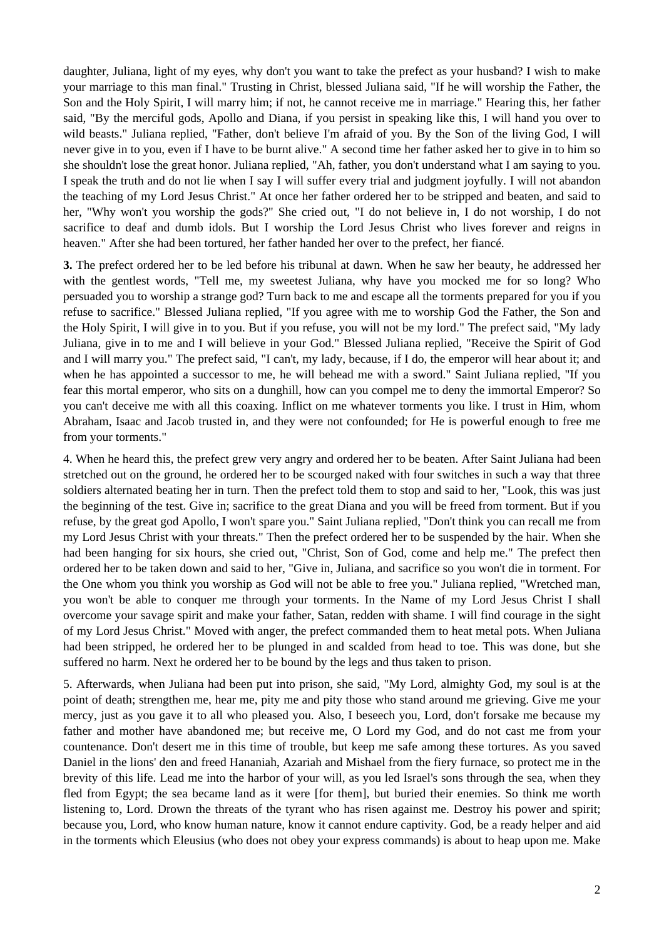daughter, Juliana, light of my eyes, why don't you want to take the prefect as your husband? I wish to make your marriage to this man final." Trusting in Christ, blessed Juliana said, "If he will worship the Father, the Son and the Holy Spirit, I will marry him; if not, he cannot receive me in marriage." Hearing this, her father said, "By the merciful gods, Apollo and Diana, if you persist in speaking like this, I will hand you over to wild beasts." Juliana replied, "Father, don't believe I'm afraid of you. By the Son of the living God, I will never give in to you, even if I have to be burnt alive." A second time her father asked her to give in to him so she shouldn't lose the great honor. Juliana replied, "Ah, father, you don't understand what I am saying to you. I speak the truth and do not lie when I say I will suffer every trial and judgment joyfully. I will not abandon the teaching of my Lord Jesus Christ." At once her father ordered her to be stripped and beaten, and said to her, "Why won't you worship the gods?" She cried out, "I do not believe in, I do not worship, I do not sacrifice to deaf and dumb idols. But I worship the Lord Jesus Christ who lives forever and reigns in heaven." After she had been tortured, her father handed her over to the prefect, her fiancé.

**3.** The prefect ordered her to be led before his tribunal at dawn. When he saw her beauty, he addressed her with the gentlest words, "Tell me, my sweetest Juliana, why have you mocked me for so long? Who persuaded you to worship a strange god? Turn back to me and escape all the torments prepared for you if you refuse to sacrifice." Blessed Juliana replied, "If you agree with me to worship God the Father, the Son and the Holy Spirit, I will give in to you. But if you refuse, you will not be my lord." The prefect said, "My lady Juliana, give in to me and I will believe in your God." Blessed Juliana replied, "Receive the Spirit of God and I will marry you." The prefect said, "I can't, my lady, because, if I do, the emperor will hear about it; and when he has appointed a successor to me, he will behead me with a sword." Saint Juliana replied, "If you fear this mortal emperor, who sits on a dunghill, how can you compel me to deny the immortal Emperor? So you can't deceive me with all this coaxing. Inflict on me whatever torments you like. I trust in Him, whom Abraham, Isaac and Jacob trusted in, and they were not confounded; for He is powerful enough to free me from your torments."

4. When he heard this, the prefect grew very angry and ordered her to be beaten. After Saint Juliana had been stretched out on the ground, he ordered her to be scourged naked with four switches in such a way that three soldiers alternated beating her in turn. Then the prefect told them to stop and said to her, "Look, this was just the beginning of the test. Give in; sacrifice to the great Diana and you will be freed from torment. But if you refuse, by the great god Apollo, I won't spare you." Saint Juliana replied, "Don't think you can recall me from my Lord Jesus Christ with your threats." Then the prefect ordered her to be suspended by the hair. When she had been hanging for six hours, she cried out, "Christ, Son of God, come and help me." The prefect then ordered her to be taken down and said to her, "Give in, Juliana, and sacrifice so you won't die in torment. For the One whom you think you worship as God will not be able to free you." Juliana replied, "Wretched man, you won't be able to conquer me through your torments. In the Name of my Lord Jesus Christ I shall overcome your savage spirit and make your father, Satan, redden with shame. I will find courage in the sight of my Lord Jesus Christ." Moved with anger, the prefect commanded them to heat metal pots. When Juliana had been stripped, he ordered her to be plunged in and scalded from head to toe. This was done, but she suffered no harm. Next he ordered her to be bound by the legs and thus taken to prison.

5. Afterwards, when Juliana had been put into prison, she said, "My Lord, almighty God, my soul is at the point of death; strengthen me, hear me, pity me and pity those who stand around me grieving. Give me your mercy, just as you gave it to all who pleased you. Also, I beseech you, Lord, don't forsake me because my father and mother have abandoned me; but receive me, O Lord my God, and do not cast me from your countenance. Don't desert me in this time of trouble, but keep me safe among these tortures. As you saved Daniel in the lions' den and freed Hananiah, Azariah and Mishael from the fiery furnace, so protect me in the brevity of this life. Lead me into the harbor of your will, as you led Israel's sons through the sea, when they fled from Egypt; the sea became land as it were [for them], but buried their enemies. So think me worth listening to, Lord. Drown the threats of the tyrant who has risen against me. Destroy his power and spirit; because you, Lord, who know human nature, know it cannot endure captivity. God, be a ready helper and aid in the torments which Eleusius (who does not obey your express commands) is about to heap upon me. Make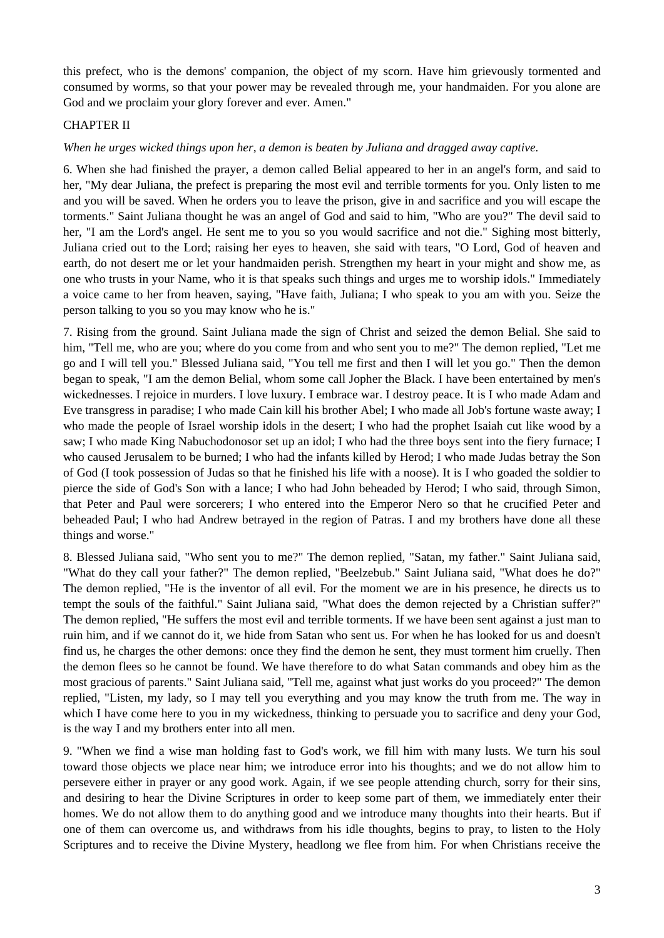this prefect, who is the demons' companion, the object of my scorn. Have him grievously tormented and consumed by worms, so that your power may be revealed through me, your handmaiden. For you alone are God and we proclaim your glory forever and ever. Amen."

# CHAPTER II

### *When he urges wicked things upon her, a demon is beaten by Juliana and dragged away captive.*

6. When she had finished the prayer, a demon called Belial appeared to her in an angel's form, and said to her, "My dear Juliana, the prefect is preparing the most evil and terrible torments for you. Only listen to me and you will be saved. When he orders you to leave the prison, give in and sacrifice and you will escape the torments." Saint Juliana thought he was an angel of God and said to him, "Who are you?" The devil said to her, "I am the Lord's angel. He sent me to you so you would sacrifice and not die." Sighing most bitterly, Juliana cried out to the Lord; raising her eyes to heaven, she said with tears, "O Lord, God of heaven and earth, do not desert me or let your handmaiden perish. Strengthen my heart in your might and show me, as one who trusts in your Name, who it is that speaks such things and urges me to worship idols." Immediately a voice came to her from heaven, saying, "Have faith, Juliana; I who speak to you am with you. Seize the person talking to you so you may know who he is."

7. Rising from the ground. Saint Juliana made the sign of Christ and seized the demon Belial. She said to him, "Tell me, who are you; where do you come from and who sent you to me?" The demon replied, "Let me go and I will tell you." Blessed Juliana said, "You tell me first and then I will let you go." Then the demon began to speak, "I am the demon Belial, whom some call Jopher the Black. I have been entertained by men's wickednesses. I rejoice in murders. I love luxury. I embrace war. I destroy peace. It is I who made Adam and Eve transgress in paradise; I who made Cain kill his brother Abel; I who made all Job's fortune waste away; I who made the people of Israel worship idols in the desert; I who had the prophet Isaiah cut like wood by a saw; I who made King Nabuchodonosor set up an idol; I who had the three boys sent into the fiery furnace; I who caused Jerusalem to be burned; I who had the infants killed by Herod; I who made Judas betray the Son of God (I took possession of Judas so that he finished his life with a noose). It is I who goaded the soldier to pierce the side of God's Son with a lance; I who had John beheaded by Herod; I who said, through Simon, that Peter and Paul were sorcerers; I who entered into the Emperor Nero so that he crucified Peter and beheaded Paul; I who had Andrew betrayed in the region of Patras. I and my brothers have done all these things and worse."

8. Blessed Juliana said, "Who sent you to me?" The demon replied, "Satan, my father." Saint Juliana said, "What do they call your father?" The demon replied, "Beelzebub." Saint Juliana said, "What does he do?" The demon replied, "He is the inventor of all evil. For the moment we are in his presence, he directs us to tempt the souls of the faithful." Saint Juliana said, "What does the demon rejected by a Christian suffer?" The demon replied, "He suffers the most evil and terrible torments. If we have been sent against a just man to ruin him, and if we cannot do it, we hide from Satan who sent us. For when he has looked for us and doesn't find us, he charges the other demons: once they find the demon he sent, they must torment him cruelly. Then the demon flees so he cannot be found. We have therefore to do what Satan commands and obey him as the most gracious of parents." Saint Juliana said, "Tell me, against what just works do you proceed?" The demon replied, "Listen, my lady, so I may tell you everything and you may know the truth from me. The way in which I have come here to you in my wickedness, thinking to persuade you to sacrifice and deny your God, is the way I and my brothers enter into all men.

9. "When we find a wise man holding fast to God's work, we fill him with many lusts. We turn his soul toward those objects we place near him; we introduce error into his thoughts; and we do not allow him to persevere either in prayer or any good work. Again, if we see people attending church, sorry for their sins, and desiring to hear the Divine Scriptures in order to keep some part of them, we immediately enter their homes. We do not allow them to do anything good and we introduce many thoughts into their hearts. But if one of them can overcome us, and withdraws from his idle thoughts, begins to pray, to listen to the Holy Scriptures and to receive the Divine Mystery, headlong we flee from him. For when Christians receive the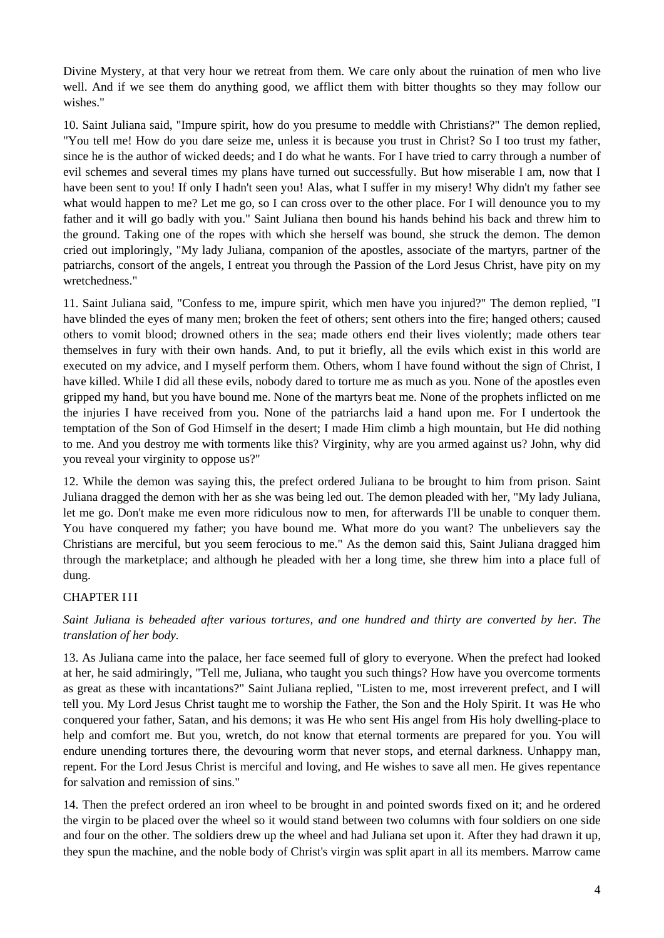Divine Mystery, at that very hour we retreat from them. We care only about the ruination of men who live well. And if we see them do anything good, we afflict them with bitter thoughts so they may follow our wishes."

10. Saint Juliana said, "Impure spirit, how do you presume to meddle with Christians?" The demon replied, "You tell me! How do you dare seize me, unless it is because you trust in Christ? So I too trust my father, since he is the author of wicked deeds; and I do what he wants. For I have tried to carry through a number of evil schemes and several times my plans have turned out successfully. But how miserable I am, now that I have been sent to you! If only I hadn't seen you! Alas, what I suffer in my misery! Why didn't my father see what would happen to me? Let me go, so I can cross over to the other place. For I will denounce you to my father and it will go badly with you." Saint Juliana then bound his hands behind his back and threw him to the ground. Taking one of the ropes with which she herself was bound, she struck the demon. The demon cried out imploringly, "My lady Juliana, companion of the apostles, associate of the martyrs, partner of the patriarchs, consort of the angels, I entreat you through the Passion of the Lord Jesus Christ, have pity on my wretchedness."

11. Saint Juliana said, "Confess to me, impure spirit, which men have you injured?" The demon replied, "I have blinded the eyes of many men; broken the feet of others; sent others into the fire; hanged others; caused others to vomit blood; drowned others in the sea; made others end their lives violently; made others tear themselves in fury with their own hands. And, to put it briefly, all the evils which exist in this world are executed on my advice, and I myself perform them. Others, whom I have found without the sign of Christ, I have killed. While I did all these evils, nobody dared to torture me as much as you. None of the apostles even gripped my hand, but you have bound me. None of the martyrs beat me. None of the prophets inflicted on me the injuries I have received from you. None of the patriarchs laid a hand upon me. For I undertook the temptation of the Son of God Himself in the desert; I made Him climb a high mountain, but He did nothing to me. And you destroy me with torments like this? Virginity, why are you armed against us? John, why did you reveal your virginity to oppose us?"

12. While the demon was saying this, the prefect ordered Juliana to be brought to him from prison. Saint Juliana dragged the demon with her as she was being led out. The demon pleaded with her, "My lady Juliana, let me go. Don't make me even more ridiculous now to men, for afterwards I'll be unable to conquer them. You have conquered my father; you have bound me. What more do you want? The unbelievers say the Christians are merciful, but you seem ferocious to me." As the demon said this, Saint Juliana dragged him through the marketplace; and although he pleaded with her a long time, she threw him into a place full of dung.

# **CHAPTER III**

# *Saint Juliana is beheaded after various tortures, and one hundred and thirty are converted by her. The translation of her body.*

13. As Juliana came into the palace, her face seemed full of glory to everyone. When the prefect had looked at her, he said admiringly, "Tell me, Juliana, who taught you such things? How have you overcome torments as great as these with incantations?" Saint Juliana replied, "Listen to me, most irreverent prefect, and I will tell you. My Lord Jesus Christ taught me to worship the Father, the Son and the Holy Spirit. It was He who conquered your father, Satan, and his demons; it was He who sent His angel from His holy dwelling-place to help and comfort me. But you, wretch, do not know that eternal torments are prepared for you. You will endure unending tortures there, the devouring worm that never stops, and eternal darkness. Unhappy man, repent. For the Lord Jesus Christ is merciful and loving, and He wishes to save all men. He gives repentance for salvation and remission of sins."

14. Then the prefect ordered an iron wheel to be brought in and pointed swords fixed on it; and he ordered the virgin to be placed over the wheel so it would stand between two columns with four soldiers on one side and four on the other. The soldiers drew up the wheel and had Juliana set upon it. After they had drawn it up, they spun the machine, and the noble body of Christ's virgin was split apart in all its members. Marrow came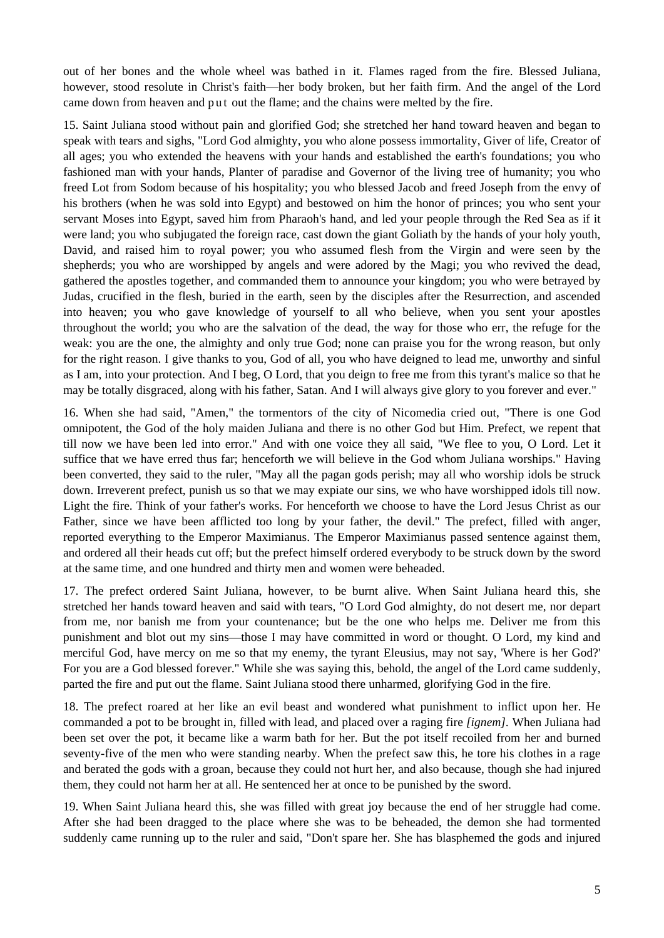out of her bones and the whole wheel was bathed in it. Flames raged from the fire. Blessed Juliana, however, stood resolute in Christ's faith—her body broken, but her faith firm. And the angel of the Lord came down from heaven and put out the flame; and the chains were melted by the fire.

15. Saint Juliana stood without pain and glorified God; she stretched her hand toward heaven and began to speak with tears and sighs, "Lord God almighty, you who alone possess immortality, Giver of life, Creator of all ages; you who extended the heavens with your hands and established the earth's foundations; you who fashioned man with your hands, Planter of paradise and Governor of the living tree of humanity; you who freed Lot from Sodom because of his hospitality; you who blessed Jacob and freed Joseph from the envy of his brothers (when he was sold into Egypt) and bestowed on him the honor of princes; you who sent your servant Moses into Egypt, saved him from Pharaoh's hand, and led your people through the Red Sea as if it were land; you who subjugated the foreign race, cast down the giant Goliath by the hands of your holy youth, David, and raised him to royal power; you who assumed flesh from the Virgin and were seen by the shepherds; you who are worshipped by angels and were adored by the Magi; you who revived the dead, gathered the apostles together, and commanded them to announce your kingdom; you who were betrayed by Judas, crucified in the flesh, buried in the earth, seen by the disciples after the Resurrection, and ascended into heaven; you who gave knowledge of yourself to all who believe, when you sent your apostles throughout the world; you who are the salvation of the dead, the way for those who err, the refuge for the weak: you are the one, the almighty and only true God; none can praise you for the wrong reason, but only for the right reason. I give thanks to you, God of all, you who have deigned to lead me, unworthy and sinful as I am, into your protection. And I beg, O Lord, that you deign to free me from this tyrant's malice so that he may be totally disgraced, along with his father, Satan. And I will always give glory to you forever and ever."

16. When she had said, "Amen," the tormentors of the city of Nicomedia cried out, "There is one God omnipotent, the God of the holy maiden Juliana and there is no other God but Him. Prefect, we repent that till now we have been led into error." And with one voice they all said, "We flee to you, O Lord. Let it suffice that we have erred thus far; henceforth we will believe in the God whom Juliana worships." Having been converted, they said to the ruler, "May all the pagan gods perish; may all who worship idols be struck down. Irreverent prefect, punish us so that we may expiate our sins, we who have worshipped idols till now. Light the fire. Think of your father's works. For henceforth we choose to have the Lord Jesus Christ as our Father, since we have been afflicted too long by your father, the devil." The prefect, filled with anger, reported everything to the Emperor Maximianus. The Emperor Maximianus passed sentence against them, and ordered all their heads cut off; but the prefect himself ordered everybody to be struck down by the sword at the same time, and one hundred and thirty men and women were beheaded.

17. The prefect ordered Saint Juliana, however, to be burnt alive. When Saint Juliana heard this, she stretched her hands toward heaven and said with tears, "O Lord God almighty, do not desert me, nor depart from me, nor banish me from your countenance; but be the one who helps me. Deliver me from this punishment and blot out my sins—those I may have committed in word or thought. O Lord, my kind and merciful God, have mercy on me so that my enemy, the tyrant Eleusius, may not say, 'Where is her God?' For you are a God blessed forever." While she was saying this, behold, the angel of the Lord came suddenly, parted the fire and put out the flame. Saint Juliana stood there unharmed, glorifying God in the fire.

18. The prefect roared at her like an evil beast and wondered what punishment to inflict upon her. He commanded a pot to be brought in, filled with lead, and placed over a raging fire *[ignem].* When Juliana had been set over the pot, it became like a warm bath for her. But the pot itself recoiled from her and burned seventy-five of the men who were standing nearby. When the prefect saw this, he tore his clothes in a rage and berated the gods with a groan, because they could not hurt her, and also because, though she had injured them, they could not harm her at all. He sentenced her at once to be punished by the sword.

19. When Saint Juliana heard this, she was filled with great joy because the end of her struggle had come. After she had been dragged to the place where she was to be beheaded, the demon she had tormented suddenly came running up to the ruler and said, "Don't spare her. She has blasphemed the gods and injured